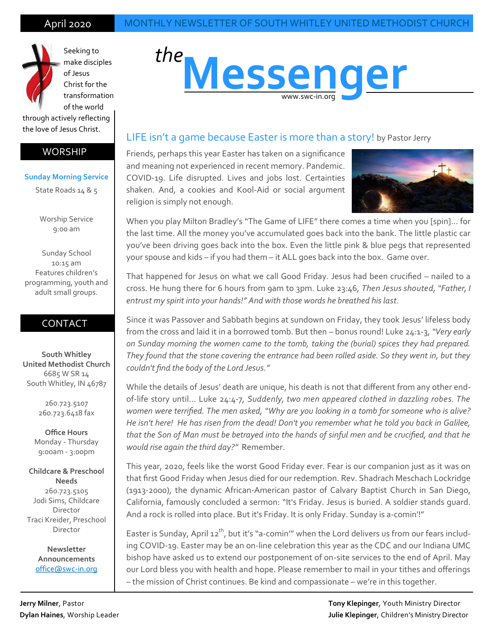

Seeking to make disciples of Jesus

Christ for the transformation of the world

through actively reflecting the love of Jesus Christ.

#### WORSHIP

#### **Sunday Morning Service**

State Roads 14 & 5

Worship Service 9:00 am

Sunday School 10:15 am Features children's programming, youth and adult small groups.

### CONTACT

**South Whitley United Methodist Church** 6685 W SR 14 South Whitley, IN 46787

> 260.723.5107 260.723.6418 fax

**Office Hours** Monday - Thursday 9:00am - 3:00pm

**Childcare & Preschool Needs** 260.723.5105 Jodi Sims, Childcare Director Traci Kreider, Preschool Director

> **Newsletter Announcements** [office@swc](mailto:swumc@embarqmail.com)-in.org

# **Messenger** *the* www.swc-in.org

#### LIFE isn't a game because Easter is more than a story! by Pastor Jerry

Friends, perhaps this year Easter has taken on a significance and meaning not experienced in recent memory. Pandemic. COVID-19. Life disrupted. Lives and jobs lost. Certainties shaken. And, a cookies and Kool-Aid or social argument religion is simply not enough.



When you play Milton Bradley's "The Game of LIFE" there comes a time when you [spin]... for the last time. All the money you've accumulated goes back into the bank. The little plastic car you've been driving goes back into the box. Even the little pink & blue pegs that represented your spouse and kids – if you had them – it ALL goes back into the box. Game over.

That happened for Jesus on what we call Good Friday. Jesus had been crucified – nailed to a cross. He hung there for 6 hours from 9am to 3pm. Luke 23:46, *Then Jesus shouted, "Father, I entrust my spirit into your hands!" And with those words he breathed his last*.

Since it was Passover and Sabbath begins at sundown on Friday, they took Jesus' lifeless body from the cross and laid it in a borrowed tomb. But then – bonus round! Luke 24:1-3, *"Very early on Sunday morning the women came to the tomb, taking the (burial) spices they had prepared. They found that the stone covering the entrance had been rolled aside. So they went in, but they couldn't find the body of the Lord Jesus."*

While the details of Jesus' death are unique, his death is not that different from any other endof-life story until… Luke 24:4-7, *Suddenly, two men appeared clothed in dazzling robes. The women were terrified. The men asked, "Why are you looking in a tomb for someone who is alive? He isn't here! He has risen from the dead! Don't you remember what he told you back in Galilee, that the Son of Man must be betrayed into the hands of sinful men and be crucified, and that he would rise again the third day?"* Remember.

This year, 2020, feels like the worst Good Friday ever. Fear is our companion just as it was on that first Good Friday when Jesus died for our redemption. Rev. Shadrach Meschach Lockridge (1913-2000), the dynamic African-American pastor of Calvary Baptist Church in San Diego, California, famously concluded a sermon: "It's Friday. Jesus is buried. A soldier stands guard. And a rock is rolled into place. But it's Friday. It is only Friday. Sunday is a-comin'!"

Easter is Sunday, April 12<sup>th</sup>, but it's "a-comin'" when the Lord delivers us from our fears including COVID-19. Easter may be an on-line celebration this year as the CDC and our Indiana UMC bishop have asked us to extend our postponement of on-site services to the end of April. May our Lord bless you with health and hope. Please remember to mail in your tithes and offerings – the mission of Christ continues. Be kind and compassionate – we're in this together.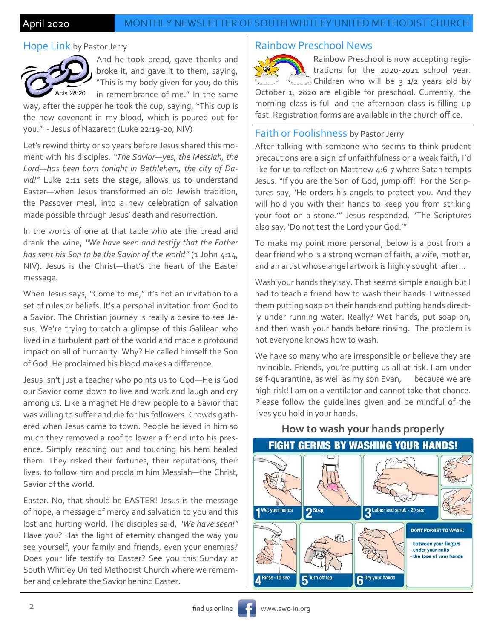#### April 2020 MONTHLY NEWSLETTER OF SOUTH WHITLEY UNITED METHODIST CHURCH

#### Hope Link by Pastor Jerry



And he took bread, gave thanks and broke it, and gave it to them, saying, "This is my body given for you; do this in remembrance of me." In the same

way, after the supper he took the cup, saying, "This cup is the new covenant in my blood, which is poured out for you." - Jesus of Nazareth (Luke 22:19-20, NIV)

Let's rewind thirty or so years before Jesus shared this moment with his disciples. *"The Savior—yes, the Messiah, the Lord—has been born tonight in Bethlehem, the city of David!"* Luke 2:11 sets the stage, allows us to understand Easter—when Jesus transformed an old Jewish tradition, the Passover meal, into a new celebration of salvation made possible through Jesus' death and resurrection.

In the words of one at that table who ate the bread and drank the wine, *"We have seen and testify that the Father*  has sent his Son to be the Savior of the world" (1 John 4:14, NIV). Jesus is the Christ—that's the heart of the Easter message.

When Jesus says, "Come to me," it's not an invitation to a set of rules or beliefs. It's a personal invitation from God to a Savior. The Christian journey is really a desire to see Jesus. We're trying to catch a glimpse of this Galilean who lived in a turbulent part of the world and made a profound impact on all of humanity. Why? He called himself the Son of God. He proclaimed his blood makes a difference.

Jesus isn't just a teacher who points us to God—He is God our Savior come down to live and work and laugh and cry among us. Like a magnet He drew people to a Savior that was willing to suffer and die for his followers. Crowds gathered when Jesus came to town. People believed in him so much they removed a roof to lower a friend into his presence. Simply reaching out and touching his hem healed them. They risked their fortunes, their reputations, their lives, to follow him and proclaim him Messiah—the Christ, Savior of the world.

Easter. No, that should be EASTER! Jesus is the message of hope, a message of mercy and salvation to you and this lost and hurting world. The disciples said, *"We have seen!"* Have you? Has the light of eternity changed the way you see yourself, your family and friends, even your enemies? Does your life testify to Easter? See you this Sunday at South Whitley United Methodist Church where we remember and celebrate the Savior behind Easter.

#### Rainbow Preschool News



Rainbow Preschool is now accepting registrations for the 2020-2021 school year. Children who will be  $3$   $1/2$  years old by

October 1, 2020 are eligible for preschool. Currently, the morning class is full and the afternoon class is filling up fast. Registration forms are available in the church office.

#### Faith or Foolishness by Pastor Jerry

After talking with someone who seems to think prudent precautions are a sign of unfaithfulness or a weak faith, I'd like for us to reflect on Matthew 4:6-7 where Satan tempts Jesus. "If you are the Son of God, jump off! For the Scriptures say, 'He orders his angels to protect you. And they will hold you with their hands to keep you from striking your foot on a stone.'" Jesus responded, "The Scriptures also say, 'Do not test the Lord your God.'"

To make my point more personal, below is a post from a dear friend who is a strong woman of faith, a wife, mother, and an artist whose angel artwork is highly sought after…

Wash your hands they say. That seems simple enough but I had to teach a friend how to wash their hands. I witnessed them putting soap on their hands and putting hands directly under running water. Really? Wet hands, put soap on, and then wash your hands before rinsing. The problem is not everyone knows how to wash.

We have so many who are irresponsible or believe they are invincible. Friends, you're putting us all at risk. I am under self-quarantine, as well as my son Evan, because we are high risk! I am on a ventilator and cannot take that chance. Please follow the guidelines given and be mindful of the lives you hold in your hands.



## **How to wash your hands properly**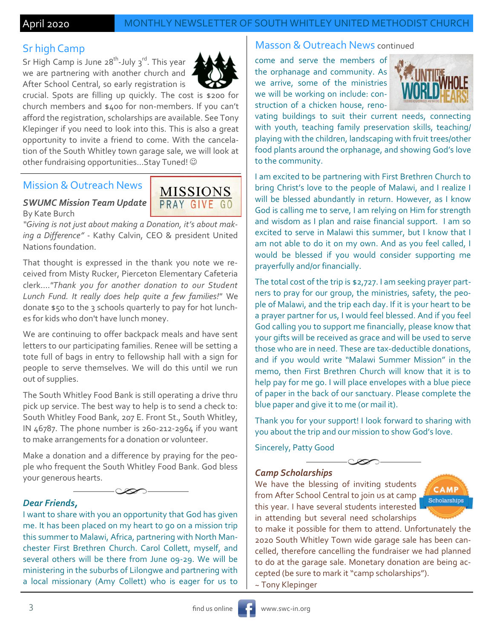### Sr high Camp

Sr High Camp is June 28<sup>th</sup>-July 3<sup>rd</sup>. This year we are partnering with another church and After School Central, so early registration is



crucial. Spots are filling up quickly. The cost is \$200 for church members and \$400 for non-members. If you can't afford the registration, scholarships are available. See Tony Klepinger if you need to look into this. This is also a great opportunity to invite a friend to come. With the cancelation of the South Whitley town garage sale, we will look at other fundraising opportunities...Stay Tuned!

### Mission & Outreach News

#### *SWUMC Mission Team Update* By Kate Burch



*"Giving is not just about making a Donation, it's about making a Difference"* - Kathy Calvin, CEO & president United Nations foundation.

That thought is expressed in the thank you note we received from Misty Rucker, Pierceton Elementary Cafeteria clerk....*"Thank you for another donation to our Student Lunch Fund. It really does help quite a few families!"* We donate \$50 to the 3 schools quarterly to pay for hot lunches for kids who don't have lunch money.

We are continuing to offer backpack meals and have sent letters to our participating families. Renee will be setting a tote full of bags in entry to fellowship hall with a sign for people to serve themselves. We will do this until we run out of supplies.

The South Whitley Food Bank is still operating a drive thru pick up service. The best way to help is to send a check to: South Whitley Food Bank, 207 E. Front St., South Whitley, IN 46787. The phone number is 260-212-2964 if you want to make arrangements for a donation or volunteer.

Make a donation and a difference by praying for the people who frequent the South Whitley Food Bank. God bless your generous hearts.



#### *Dear Friends,*

I want to share with you an opportunity that God has given me. It has been placed on my heart to go on a mission trip this summer to Malawi, Africa, partnering with North Manchester First Brethren Church. Carol Collett, myself, and several others will be there from June 09-29. We will be ministering in the suburbs of Lilongwe and partnering with a local missionary (Amy Collett) who is eager for us to

#### Masson & Outreach News continued

come and serve the members of the orphanage and community. As we arrive, some of the ministries we will be working on include: construction of a chicken house, reno-



vating buildings to suit their current needs, connecting with youth, teaching family preservation skills, teaching/ playing with the children, landscaping with fruit trees/other food plants around the orphanage, and showing God's love to the community.

I am excited to be partnering with First Brethren Church to bring Christ's love to the people of Malawi, and I realize I will be blessed abundantly in return. However, as I know God is calling me to serve, I am relying on Him for strength and wisdom as I plan and raise financial support. I am so excited to serve in Malawi this summer, but I know that I am not able to do it on my own. And as you feel called, I would be blessed if you would consider supporting me prayerfully and/or financially.

The total cost of the trip is \$2,727. I am seeking prayer partners to pray for our group, the ministries, safety, the people of Malawi, and the trip each day. If it is your heart to be a prayer partner for us, I would feel blessed. And if you feel God calling you to support me financially, please know that your gifts will be received as grace and will be used to serve those who are in need. These are tax-deductible donations, and if you would write "Malawi Summer Mission" in the memo, then First Brethren Church will know that it is to help pay for me go. I will place envelopes with a blue piece of paper in the back of our sanctuary. Please complete the blue paper and give it to me (or mail it).

Thank you for your support! I look forward to sharing with you about the trip and our mission to show God's love.

Sincerely, Patty Good

#### *Camp Scholarships*

We have the blessing of inviting students from After School Central to join us at camp this year. I have several students interested in attending but several need scholarships



to make it possible for them to attend. Unfortunately the 2020 South Whitley Town wide garage sale has been cancelled, therefore cancelling the fundraiser we had planned to do at the garage sale. Monetary donation are being accepted (be sure to mark it "camp scholarships"). ~ Tony Klepinger